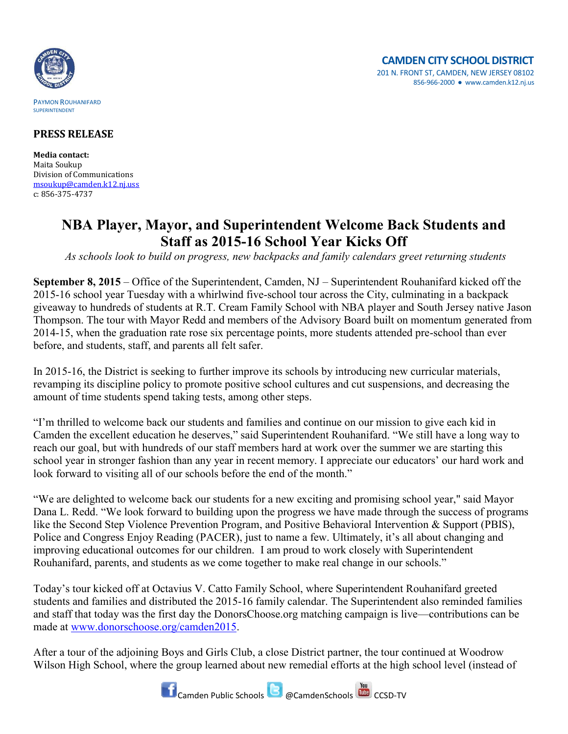

## **PRESS RELEASE**

**Media contact:** Maita Soukup Division of Communications [msoukup@camden.k12.nj.uss](mailto:msoukup@camden.k12.nj.us) c: 856-375-4737

## **NBA Player, Mayor, and Superintendent Welcome Back Students and Staff as 2015-16 School Year Kicks Off**

*As schools look to build on progress, new backpacks and family calendars greet returning students*

**September 8, 2015** – Office of the Superintendent, Camden, NJ – Superintendent Rouhanifard kicked off the 2015-16 school year Tuesday with a whirlwind five-school tour across the City, culminating in a backpack giveaway to hundreds of students at R.T. Cream Family School with NBA player and South Jersey native Jason Thompson. The tour with Mayor Redd and members of the Advisory Board built on momentum generated from 2014-15, when the graduation rate rose six percentage points, more students attended pre-school than ever before, and students, staff, and parents all felt safer.

In 2015-16, the District is seeking to further improve its schools by introducing new curricular materials, revamping its discipline policy to promote positive school cultures and cut suspensions, and decreasing the amount of time students spend taking tests, among other steps.

"I'm thrilled to welcome back our students and families and continue on our mission to give each kid in Camden the excellent education he deserves," said Superintendent Rouhanifard. "We still have a long way to reach our goal, but with hundreds of our staff members hard at work over the summer we are starting this school year in stronger fashion than any year in recent memory. I appreciate our educators' our hard work and look forward to visiting all of our schools before the end of the month."

"We are delighted to welcome back our students for a new exciting and promising school year," said Mayor Dana L. Redd. "We look forward to building upon the progress we have made through the success of programs like the Second Step Violence Prevention Program, and Positive Behavioral Intervention & Support (PBIS), Police and Congress Enjoy Reading (PACER), just to name a few. Ultimately, it's all about changing and improving educational outcomes for our children. I am proud to work closely with Superintendent Rouhanifard, parents, and students as we come together to make real change in our schools."

Today's tour kicked off at Octavius V. Catto Family School, where Superintendent Rouhanifard greeted students and families and distributed the 2015-16 family calendar. The Superintendent also reminded families and staff that today was the first day the DonorsChoose.org matching campaign is live—contributions can be made at [www.donorschoose.org/camden2015.](http://www.donorschoose.org/camden2015)

After a tour of the adjoining Boys and Girls Club, a close District partner, the tour continued at Woodrow Wilson High School, where the group learned about new remedial efforts at the high school level (instead of